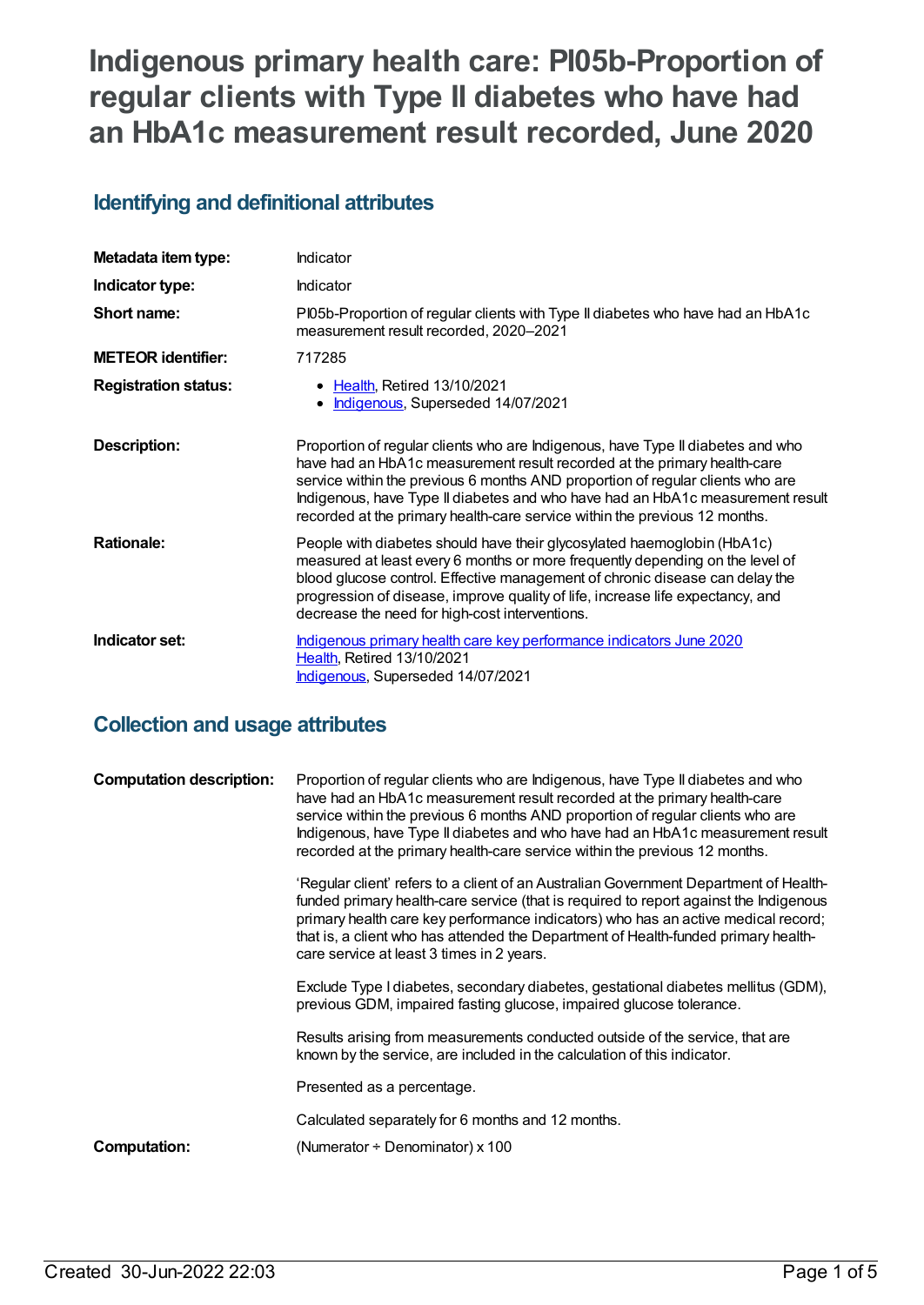# **Indigenous primary health care: PI05b-Proportion of regular clients with Type II diabetes who have had an HbA1c measurement result recorded, June 2020**

### **Identifying and definitional attributes**

| Metadata item type:         | Indicator                                                                                                                                                                                                                                                                                                                                                                                                     |
|-----------------------------|---------------------------------------------------------------------------------------------------------------------------------------------------------------------------------------------------------------------------------------------------------------------------------------------------------------------------------------------------------------------------------------------------------------|
| Indicator type:             | <b>Indicator</b>                                                                                                                                                                                                                                                                                                                                                                                              |
| Short name:                 | PI05b-Proportion of regular clients with Type II diabetes who have had an HbA1c<br>measurement result recorded, 2020-2021                                                                                                                                                                                                                                                                                     |
| <b>METEOR</b> identifier:   | 717285                                                                                                                                                                                                                                                                                                                                                                                                        |
| <b>Registration status:</b> | <b>Health, Retired 13/10/2021</b><br>Indigenous, Superseded 14/07/2021                                                                                                                                                                                                                                                                                                                                        |
| <b>Description:</b>         | Proportion of regular clients who are Indigenous, have Type II diabetes and who<br>have had an HbA1c measurement result recorded at the primary health-care<br>service within the previous 6 months AND proportion of regular clients who are<br>Indigenous, have Type II diabetes and who have had an HbA1c measurement result<br>recorded at the primary health-care service within the previous 12 months. |
| <b>Rationale:</b>           | People with diabetes should have their glycosylated haemoglobin (HbA1c)<br>measured at least every 6 months or more frequently depending on the level of<br>blood glucose control. Effective management of chronic disease can delay the<br>progression of disease, improve quality of life, increase life expectancy, and<br>decrease the need for high-cost interventions.                                  |
| Indicator set:              | Indigenous primary health care key performance indicators June 2020<br>Health, Retired 13/10/2021<br>Indigenous, Superseded 14/07/2021                                                                                                                                                                                                                                                                        |

### **Collection and usage attributes**

| <b>Computation description:</b> | Proportion of regular clients who are Indigenous, have Type II diabetes and who<br>have had an HbA1c measurement result recorded at the primary health-care<br>service within the previous 6 months AND proportion of regular clients who are<br>Indigenous, have Type II diabetes and who have had an HbA1c measurement result<br>recorded at the primary health-care service within the previous 12 months. |
|---------------------------------|---------------------------------------------------------------------------------------------------------------------------------------------------------------------------------------------------------------------------------------------------------------------------------------------------------------------------------------------------------------------------------------------------------------|
|                                 | 'Regular client' refers to a client of an Australian Government Department of Health-<br>funded primary health-care service (that is required to report against the Indigenous<br>primary health care key performance indicators) who has an active medical record;<br>that is, a client who has attended the Department of Health-funded primary health-<br>care service at least 3 times in 2 years.        |
|                                 | Exclude Type I diabetes, secondary diabetes, gestational diabetes mellitus (GDM),<br>previous GDM, impaired fasting glucose, impaired glucose tolerance.                                                                                                                                                                                                                                                      |
|                                 | Results arising from measurements conducted outside of the service, that are<br>known by the service, are included in the calculation of this indicator.                                                                                                                                                                                                                                                      |
|                                 | Presented as a percentage.                                                                                                                                                                                                                                                                                                                                                                                    |
|                                 | Calculated separately for 6 months and 12 months.                                                                                                                                                                                                                                                                                                                                                             |
| Computation:                    | (Numerator $\div$ Denominator) x 100                                                                                                                                                                                                                                                                                                                                                                          |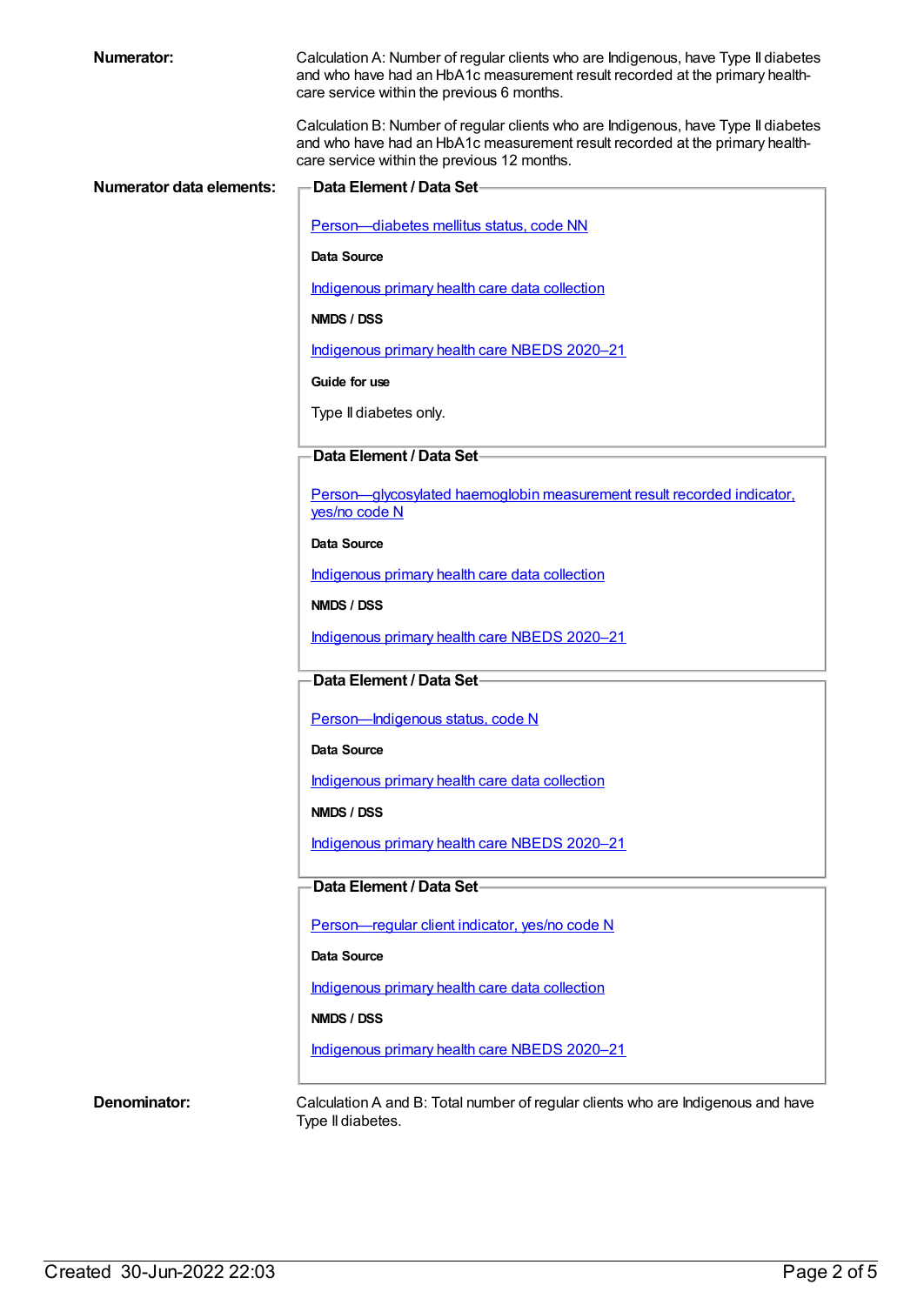| <b>Numerator:</b>               | Calculation A: Number of regular clients who are Indigenous, have Type II diabetes<br>and who have had an HbA1c measurement result recorded at the primary health-<br>care service within the previous 6 months.  |
|---------------------------------|-------------------------------------------------------------------------------------------------------------------------------------------------------------------------------------------------------------------|
|                                 | Calculation B: Number of regular clients who are Indigenous, have Type II diabetes<br>and who have had an HbA1c measurement result recorded at the primary health-<br>care service within the previous 12 months. |
| <b>Numerator data elements:</b> | Data Element / Data Set-                                                                                                                                                                                          |
|                                 | Person-diabetes mellitus status, code NN                                                                                                                                                                          |
|                                 | Data Source                                                                                                                                                                                                       |
|                                 | Indigenous primary health care data collection                                                                                                                                                                    |
|                                 | NMDS / DSS                                                                                                                                                                                                        |
|                                 | Indigenous primary health care NBEDS 2020-21                                                                                                                                                                      |
|                                 | Guide for use                                                                                                                                                                                                     |
|                                 | Type II diabetes only.                                                                                                                                                                                            |
|                                 | Data Element / Data Set-                                                                                                                                                                                          |
|                                 | Person-glycosylated haemoglobin measurement result recorded indicator.<br>yes/no code N                                                                                                                           |
|                                 | Data Source                                                                                                                                                                                                       |
|                                 | Indigenous primary health care data collection                                                                                                                                                                    |
|                                 | NMDS / DSS                                                                                                                                                                                                        |
|                                 | Indigenous primary health care NBEDS 2020-21                                                                                                                                                                      |
|                                 | Data Element / Data Set-                                                                                                                                                                                          |
|                                 | Person-Indigenous status, code N                                                                                                                                                                                  |
|                                 | Data Source                                                                                                                                                                                                       |
|                                 | Indigenous primary health care data collection                                                                                                                                                                    |
|                                 | NMDS / DSS                                                                                                                                                                                                        |
|                                 | Indigenous primary health care NBEDS 2020-21                                                                                                                                                                      |
|                                 |                                                                                                                                                                                                                   |
|                                 | Data Element / Data Set-                                                                                                                                                                                          |
|                                 | Person-regular client indicator, yes/no code N                                                                                                                                                                    |
|                                 | Data Source                                                                                                                                                                                                       |
|                                 | Indigenous primary health care data collection                                                                                                                                                                    |

#### **NMDS / DSS**

[Indigenous](https://meteor.aihw.gov.au/content/715320) primary health care NBEDS 2020–21

**Denominator:** Calculation A and B: Total number of regular clients who are Indigenous and have Type II diabetes.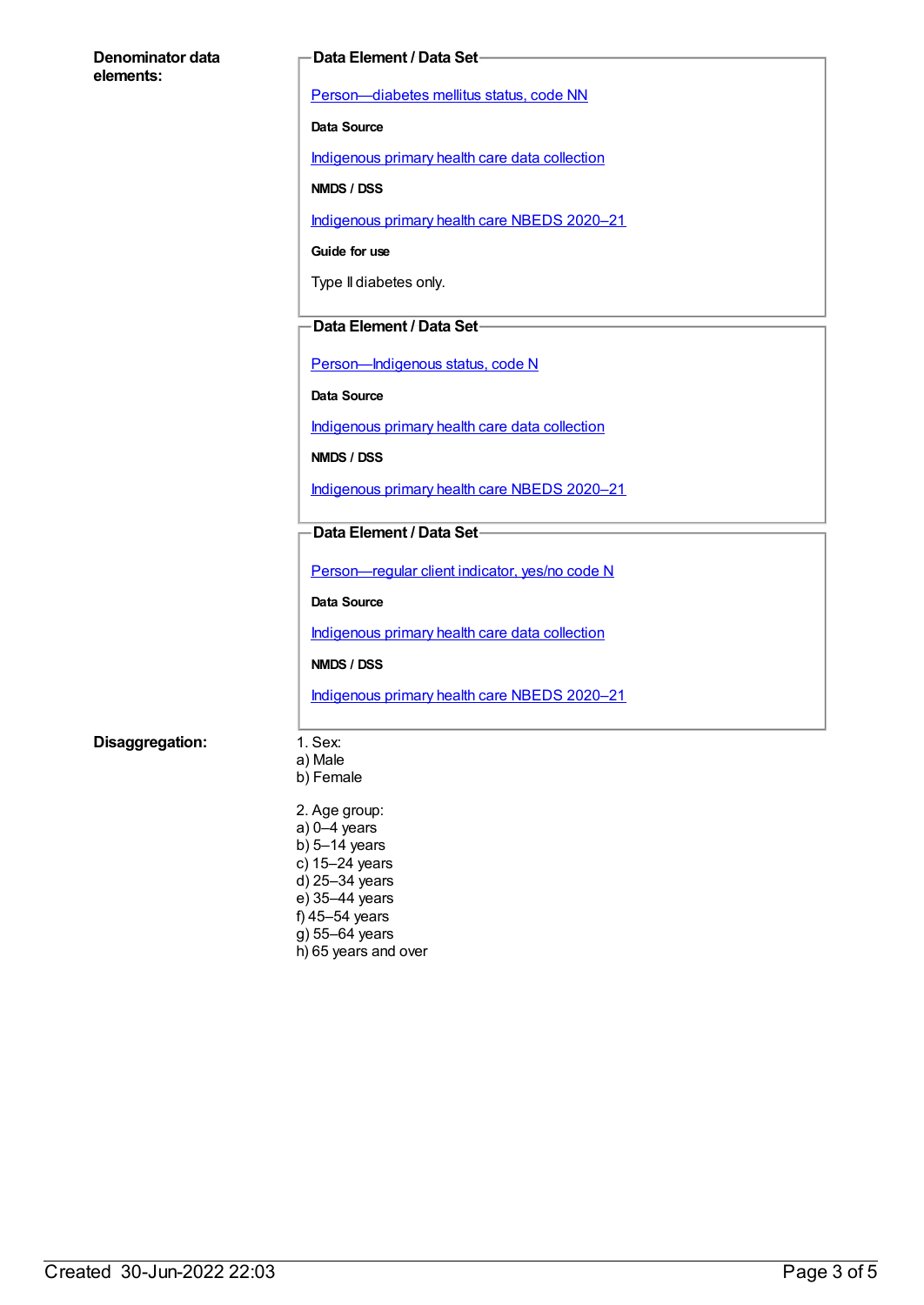| Denominator data<br>elements: | <b>Data Element / Data Set-</b>                |  |
|-------------------------------|------------------------------------------------|--|
|                               | Person-diabetes mellitus status, code NN       |  |
|                               | Data Source                                    |  |
|                               | Indigenous primary health care data collection |  |
|                               | NMDS / DSS                                     |  |
|                               | Indigenous primary health care NBEDS 2020-21   |  |
|                               | Guide for use                                  |  |
|                               |                                                |  |
|                               | Type II diabetes only.                         |  |
|                               | Data Element / Data Set-                       |  |
|                               | Person-Indigenous status, code N               |  |
|                               | Data Source                                    |  |
|                               | Indigenous primary health care data collection |  |
|                               | NMDS / DSS                                     |  |
|                               | Indigenous primary health care NBEDS 2020-21   |  |
|                               | Data Element / Data Set-                       |  |
|                               |                                                |  |
|                               | Person-regular client indicator, yes/no code N |  |
|                               | Data Source                                    |  |
|                               | Indigenous primary health care data collection |  |
|                               | NMDS / DSS                                     |  |
|                               | Indigenous primary health care NBEDS 2020-21   |  |
| Disaggregation:               | 1. Sex:                                        |  |
|                               | a) Male<br>b) Female                           |  |
|                               | 2. Age group:                                  |  |
|                               | $a) 0 - 4$ years<br>b) $5-14$ years            |  |
|                               | c) 15-24 years                                 |  |
|                               | d) 25-34 years<br>e) 35-44 years               |  |
|                               | f) 45-54 years                                 |  |

- g) 55–64 years
- h) 65 years and over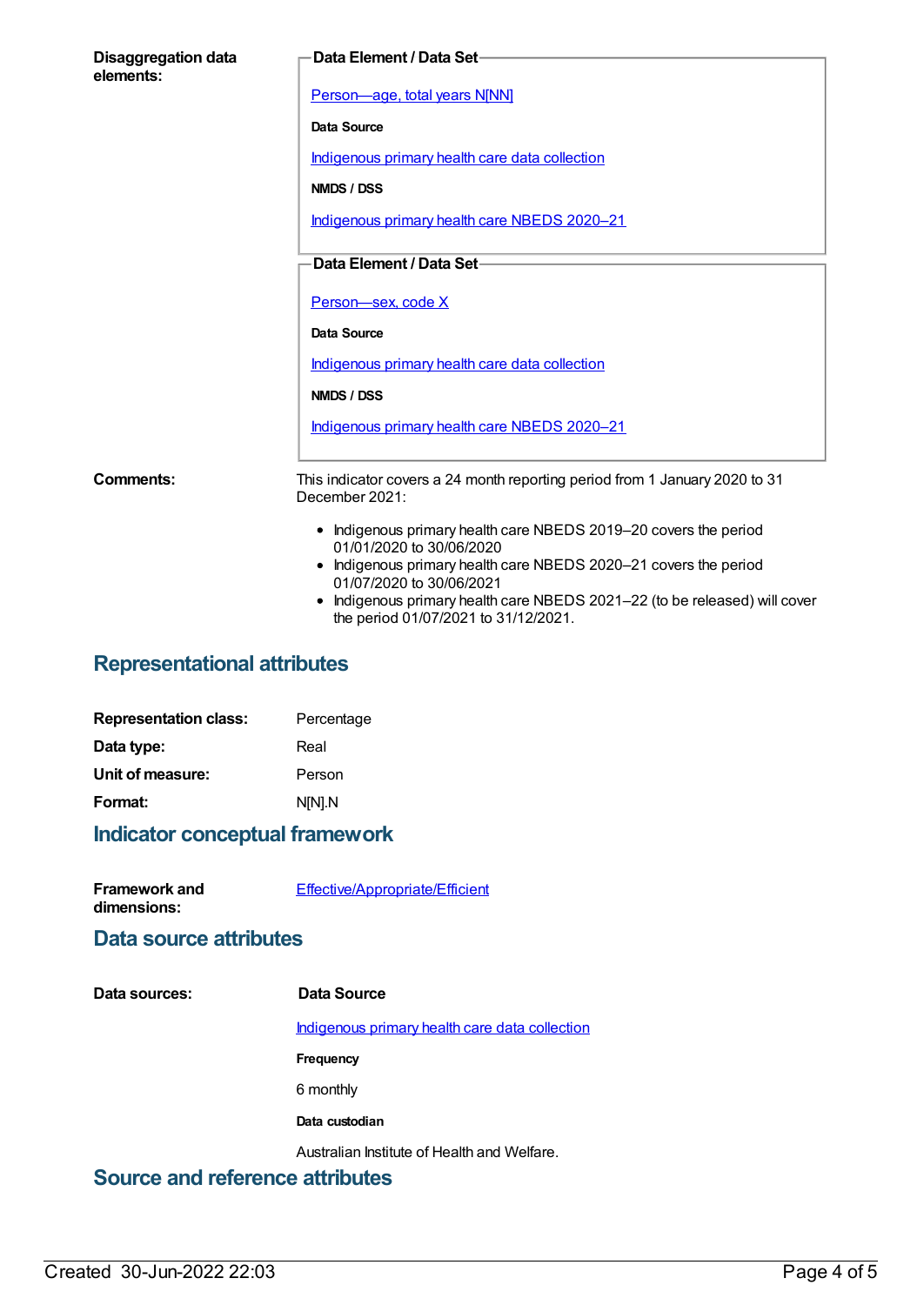| <b>Disaggregation data</b><br>elements: | Data Element / Data Set-                                                                                                                                                                                                                                                                                         |
|-----------------------------------------|------------------------------------------------------------------------------------------------------------------------------------------------------------------------------------------------------------------------------------------------------------------------------------------------------------------|
|                                         | Person-age, total years N[NN]                                                                                                                                                                                                                                                                                    |
|                                         | Data Source                                                                                                                                                                                                                                                                                                      |
|                                         | Indigenous primary health care data collection                                                                                                                                                                                                                                                                   |
|                                         | NMDS / DSS                                                                                                                                                                                                                                                                                                       |
|                                         | Indigenous primary health care NBEDS 2020-21                                                                                                                                                                                                                                                                     |
|                                         | Data Element / Data Set-                                                                                                                                                                                                                                                                                         |
|                                         | Person-sex, code X                                                                                                                                                                                                                                                                                               |
|                                         | Data Source                                                                                                                                                                                                                                                                                                      |
|                                         | Indigenous primary health care data collection                                                                                                                                                                                                                                                                   |
|                                         | NMDS / DSS                                                                                                                                                                                                                                                                                                       |
|                                         | Indigenous primary health care NBEDS 2020-21                                                                                                                                                                                                                                                                     |
| Comments:                               | This indicator covers a 24 month reporting period from 1 January 2020 to 31<br>December 2021:                                                                                                                                                                                                                    |
|                                         | • Indigenous primary health care NBEDS 2019-20 covers the period<br>01/01/2020 to 30/06/2020<br>• Indigenous primary health care NBEDS 2020-21 covers the period<br>01/07/2020 to 30/06/2021<br>Indigenous primary health care NBEDS 2021-22 (to be released) will cover<br>the period 01/07/2021 to 31/12/2021. |

# **Representational attributes**

| Percentage |
|------------|
| Real       |
| Person     |
| N[N].N     |
|            |

# **Indicator conceptual framework**

| <b>Framework and</b> | Effective/Appropriate/Efficient |
|----------------------|---------------------------------|
| dimensions:          |                                 |

#### **Data source attributes**

| Data sources:                          | Data Source                                    |
|----------------------------------------|------------------------------------------------|
|                                        | Indigenous primary health care data collection |
|                                        | <b>Frequency</b>                               |
|                                        | 6 monthly                                      |
|                                        | Data custodian                                 |
|                                        | Australian Institute of Health and Welfare.    |
| <b>Source and reference attributes</b> |                                                |